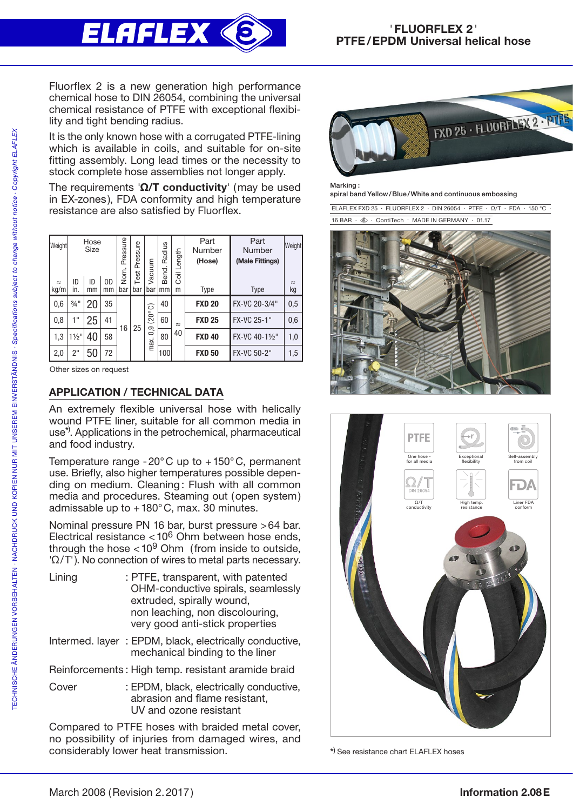

Fluorflex 2 is a new generation high performance chemical hose to DIN 26054, combining the universal chemical resistance of PTFE with exceptional flexibility and tight bending radius.

It is the only known hose with a corrugated PTFE-lining which is available in coils, and suitable for on-site fitting assembly. Long lead times or the necessity to stock complete hose assemblies not longer apply.

The requirements ' $\Omega/T$  conductivity' (may be used in EX-zones), FDA conformity and high temperature resistance are also satisfied by Fluorflex.

| Weight<br>$\approx$<br>kg/m | ID<br>in.       | Hose<br><b>Size</b><br>ID<br>mm | 0D<br>mm | Pressure<br>Nom.<br>bar | Pressure<br>Test<br>bar | Vacuum<br>bar            | Radius<br>Bend.<br>mm | Length<br><b>S</b><br>m | Part<br>Number<br>(Hose)<br><b>Type</b> | Part<br>Number<br>(Male Fittings)<br><b>Type</b> | Weight<br>$\approx$<br>kg |
|-----------------------------|-----------------|---------------------------------|----------|-------------------------|-------------------------|--------------------------|-----------------------|-------------------------|-----------------------------------------|--------------------------------------------------|---------------------------|
| 0,6                         | $\frac{3}{4}$ " | 20                              | 35       | 16                      | 25                      | (20°C)<br>9<br>်<br>max. | 40                    | $\approx$<br>40         | <b>FXD 20</b>                           | FX-VC 20-3/4"                                    | 0,5                       |
| 0,8                         | 1"              | 25                              | 41       |                         |                         |                          | 60                    |                         | <b>FXD 25</b>                           | FX-VC 25-1"                                      | 0,6                       |
| 1,3                         | $1\frac{1}{2}$  | 40                              | 58       |                         |                         |                          | 80                    |                         | <b>FXD 40</b>                           | FX-VC 40-11/2"                                   | 1,0                       |
| 2,0                         | 2"              | 50                              | 72       |                         |                         |                          | 100                   |                         | <b>FXD 50</b>                           | FX-VC 50-2"                                      | 1,5                       |

Other sizes on request

## APPLICATION / TECHNICAL DATA

An extremely flexible universal hose with helically wound PTFE liner, suitable for all common media in use<sup>\*)</sup>. Applications in the petrochemical, pharmaceutical and food industry.

Temperature range -20 $^{\circ}$ C up to +150 $^{\circ}$ C, permanent use. Briefly, also higher temperatures possible depending on medium. Cleaning: Flush with all common media and procedures. Steaming out (open system) admissable up to  $+180^{\circ}$ C, max. 30 minutes.

Nominal pressure PN 16 bar, burst pressure >64 bar. Electrical resistance <106 Ohm between hose ends, through the hose  $< 10<sup>9</sup>$  Ohm (from inside to outside, 'Ω/T'). No connection of wires to metal parts necessary.

| Lining | : PTFE, transparent, with patented<br>OHM-conductive spirals, seamlessly<br>extruded, spirally wound,<br>non leaching, non discolouring,<br>very good anti-stick properties |
|--------|-----------------------------------------------------------------------------------------------------------------------------------------------------------------------------|
|        | Intermed. layer: EPDM, black, electrically conductive,<br>mechanical binding to the liner                                                                                   |
|        | Reinforcements: High temp. resistant aramide braid                                                                                                                          |
| Cover  | : EPDM, black, electrically conductive,<br>abrasion and flame resistant,<br>UV and ozone resistant                                                                          |

Compared to PTFE hoses with braided metal cover, no possibility of injuries from damaged wires, and considerably lower heat transmission.



Marking :

spiral band Yellow/Blue/White and continuous embossing

 ELAFLEX FXD 25 . FLUORFLEX 2 · DIN 26054 · PTFE · Ω/T · FDA · 150 °C · 16 BAR ·  $\hat{\mathcal{R}}$  · ContiTech · MADE IN GERMANY · 01.17





\* ) See resistance chart ELAFLEX hoses